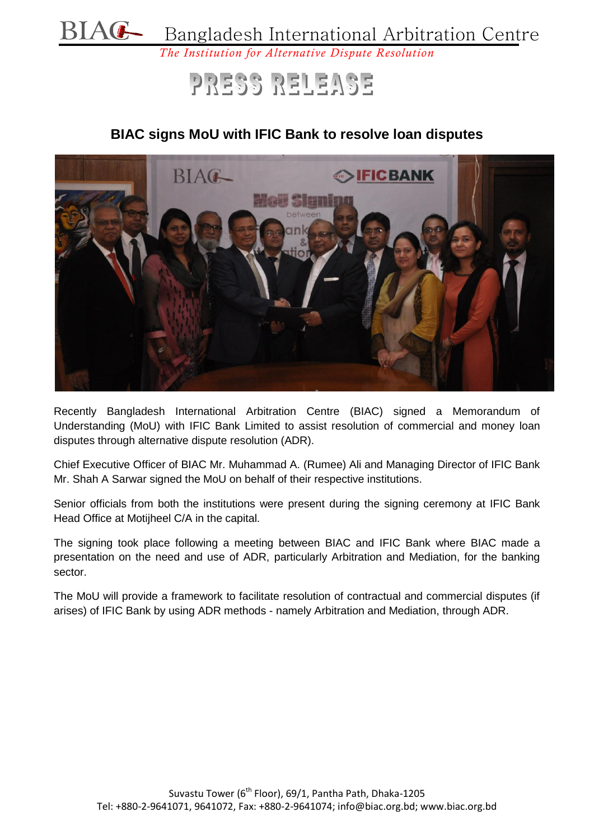

## PRESS RELEASE

## **BIAC signs MoU with IFIC Bank to resolve loan disputes**



Recently Bangladesh International Arbitration Centre (BIAC) signed a Memorandum of Understanding (MoU) with IFIC Bank Limited to assist resolution of commercial and money loan disputes through alternative dispute resolution (ADR).

Chief Executive Officer of BIAC Mr. Muhammad A. (Rumee) Ali and Managing Director of IFIC Bank Mr. Shah A Sarwar signed the MoU on behalf of their respective institutions.

Senior officials from both the institutions were present during the signing ceremony at IFIC Bank Head Office at Motijheel C/A in the capital.

The signing took place following a meeting between BIAC and IFIC Bank where BIAC made a presentation on the need and use of ADR, particularly Arbitration and Mediation, for the banking sector.

The MoU will provide a framework to facilitate resolution of contractual and commercial disputes (if arises) of IFIC Bank by using ADR methods - namely Arbitration and Mediation, through ADR.